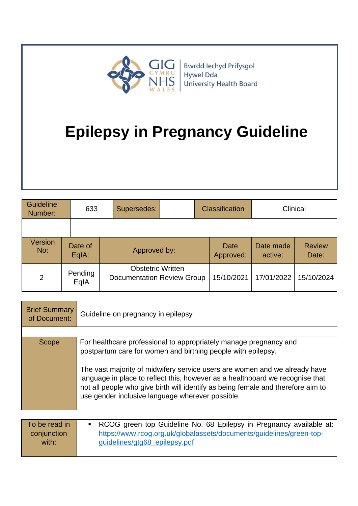

| Guideline<br>Number: |  | 633              | Supersedes:                                                   | <b>Classification</b> |                   | Clinical             |                        |
|----------------------|--|------------------|---------------------------------------------------------------|-----------------------|-------------------|----------------------|------------------------|
|                      |  |                  |                                                               |                       |                   |                      |                        |
| Version<br>No:       |  | Date of<br>EqIA: | Approved by:                                                  |                       | Date<br>Approved: | Date made<br>active: | <b>Review</b><br>Date: |
| 2                    |  | Pending<br>EqIA  | <b>Obstetric Written</b><br><b>Documentation Review Group</b> |                       | 15/10/2021        | 17/01/2022           | 15/10/2024             |

| <b>Brief Summary</b><br>of Document:  | Guideline on pregnancy in epilepsy                                                                                                                                                                                                                                                                                                                                                                                                       |
|---------------------------------------|------------------------------------------------------------------------------------------------------------------------------------------------------------------------------------------------------------------------------------------------------------------------------------------------------------------------------------------------------------------------------------------------------------------------------------------|
|                                       |                                                                                                                                                                                                                                                                                                                                                                                                                                          |
| <b>Scope</b>                          | For healthcare professional to appropriately manage pregnancy and<br>postpartum care for women and birthing people with epilepsy.<br>The vast majority of midwifery service users are women and we already have<br>language in place to reflect this, however as a healthboard we recognise that<br>not all people who give birth will identify as being female and therefore aim to<br>use gender inclusive language wherever possible. |
|                                       |                                                                                                                                                                                                                                                                                                                                                                                                                                          |
| To be read in<br>conjunction<br>with: | RCOG green top Guideline No. 68 Epilepsy in Pregnancy available at:<br>https://www.rcog.org.uk/globalassets/documents/guidelines/green-top-<br>guidelines/gtg68_epilepsy.pdf                                                                                                                                                                                                                                                             |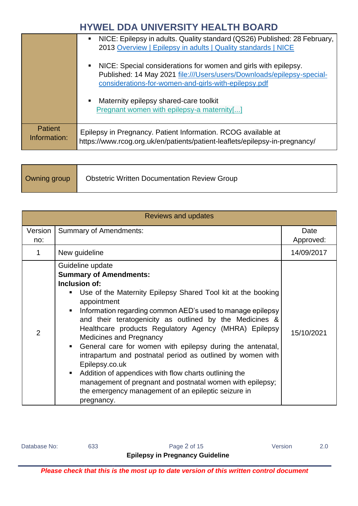|                                | NICE: Epilepsy in adults. Quality standard (QS26) Published: 28 February,<br>$\blacksquare$<br>2013 Overview   Epilepsy in adults   Quality standards   NICE                                      |  |  |  |
|--------------------------------|---------------------------------------------------------------------------------------------------------------------------------------------------------------------------------------------------|--|--|--|
|                                | NICE: Special considerations for women and girls with epilepsy.<br>Published: 14 May 2021 file:///Users/users/Downloads/epilepsy-special-<br>considerations-for-women-and-girls-with-epilepsy.pdf |  |  |  |
|                                | Maternity epilepsy shared-care toolkit<br>Pregnant women with epilepsy-a maternity[]                                                                                                              |  |  |  |
| <b>Patient</b><br>Information: | Epilepsy in Pregnancy. Patient Information. RCOG available at<br>https://www.rcog.org.uk/en/patients/patient-leaflets/epilepsy-in-pregnancy/                                                      |  |  |  |

|                       | <b>Reviews and updates</b>                                                                                                                                                                                                                                                                                                                                                                                                                                                                                                                                                                                                                                                                                                                 |                   |  |  |  |  |  |
|-----------------------|--------------------------------------------------------------------------------------------------------------------------------------------------------------------------------------------------------------------------------------------------------------------------------------------------------------------------------------------------------------------------------------------------------------------------------------------------------------------------------------------------------------------------------------------------------------------------------------------------------------------------------------------------------------------------------------------------------------------------------------------|-------------------|--|--|--|--|--|
| <b>Version</b><br>no: | <b>Summary of Amendments:</b>                                                                                                                                                                                                                                                                                                                                                                                                                                                                                                                                                                                                                                                                                                              | Date<br>Approved: |  |  |  |  |  |
| 1                     | New guideline                                                                                                                                                                                                                                                                                                                                                                                                                                                                                                                                                                                                                                                                                                                              | 14/09/2017        |  |  |  |  |  |
| $\overline{2}$        | Guideline update<br><b>Summary of Amendments:</b><br>Inclusion of:<br>Use of the Maternity Epilepsy Shared Tool kit at the booking<br>appointment<br>Information regarding common AED's used to manage epilepsy<br>٠<br>and their teratogenicity as outlined by the Medicines &<br>Healthcare products Regulatory Agency (MHRA) Epilepsy<br><b>Medicines and Pregnancy</b><br>General care for women with epilepsy during the antenatal,<br>$\blacksquare$<br>intrapartum and postnatal period as outlined by women with<br>Epilepsy.co.uk<br>Addition of appendices with flow charts outlining the<br>٠<br>management of pregnant and postnatal women with epilepsy;<br>the emergency management of an epileptic seizure in<br>pregnancy. | 15/10/2021        |  |  |  |  |  |

Database No: 633 633 Page 2 of 15 Version 2.0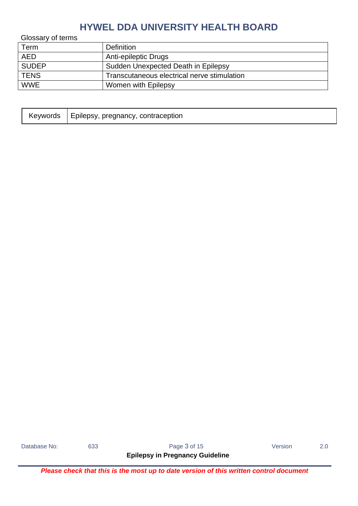Glossary of terms

| Term         | <b>Definition</b>                           |
|--------------|---------------------------------------------|
| <b>AED</b>   | Anti-epileptic Drugs                        |
| <b>SUDEP</b> | Sudden Unexpected Death in Epilepsy         |
| <b>TENS</b>  | Transcutaneous electrical nerve stimulation |
| <b>WWE</b>   | Women with Epilepsy                         |
|              |                                             |

| Keywords | ↑   Epilepsy, pregnancy, contraception |
|----------|----------------------------------------|
|----------|----------------------------------------|

Database No: 633 633 Rage 3 of 15 7 Version 2.0

**Epilepsy in Pregnancy Guideline**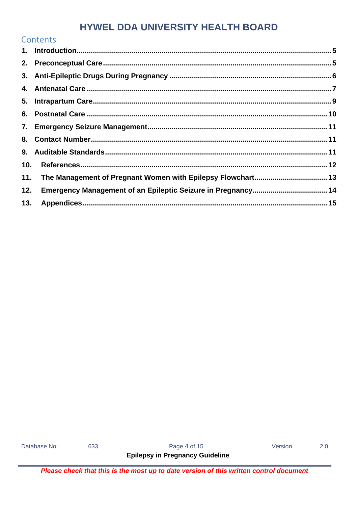|     | Contents                                                    |  |
|-----|-------------------------------------------------------------|--|
|     |                                                             |  |
|     |                                                             |  |
|     |                                                             |  |
|     |                                                             |  |
|     |                                                             |  |
|     |                                                             |  |
|     |                                                             |  |
| 8.  |                                                             |  |
|     |                                                             |  |
| 10. |                                                             |  |
| 11. | The Management of Pregnant Women with Epilepsy Flowchart 13 |  |
| 12. |                                                             |  |
| 13. |                                                             |  |

Database No:

633

Page 4 of 15

Version

 $2.0$ 

**Epilepsy in Pregnancy Guideline**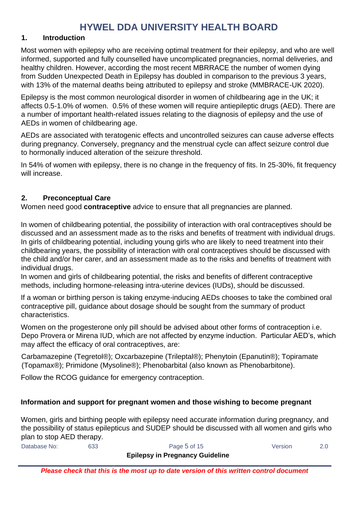#### <span id="page-4-0"></span>**1. Introduction**

Most women with epilepsy who are receiving optimal treatment for their epilepsy, and who are well informed, supported and fully counselled have uncomplicated pregnancies, normal deliveries, and healthy children. However, according the most recent MBRRACE the number of women dying from Sudden Unexpected Death in Epilepsy has doubled in comparison to the previous 3 years, with 13% of the maternal deaths being attributed to epilepsy and stroke (MMBRACE-UK 2020).

Epilepsy is the most common neurological disorder in women of childbearing age in the UK; it affects 0.5-1.0% of women. 0.5% of these women will require antiepileptic drugs (AED). There are a number of important health-related issues relating to the diagnosis of epilepsy and the use of AEDs in women of childbearing age.

AEDs are associated with teratogenic effects and uncontrolled seizures can cause adverse effects during pregnancy. Conversely, pregnancy and the menstrual cycle can affect seizure control due to hormonally induced alteration of the seizure threshold.

In 54% of women with epilepsy, there is no change in the frequency of fits. In 25-30%, fit frequency will increase.

#### <span id="page-4-1"></span>**2. Preconceptual Care**

Women need good **contraceptive** advice to ensure that all pregnancies are planned.

In women of childbearing potential, the possibility of interaction with oral contraceptives should be discussed and an assessment made as to the risks and benefits of treatment with individual drugs. In girls of childbearing potential, including young girls who are likely to need treatment into their childbearing years, the possibility of interaction with oral contraceptives should be discussed with the child and/or her carer, and an assessment made as to the risks and benefits of treatment with individual drugs.

In women and girls of childbearing potential, the risks and benefits of different contraceptive methods, including hormone-releasing intra-uterine devices (IUDs), should be discussed.

If a woman or birthing person is taking enzyme-inducing AEDs chooses to take the combined oral contraceptive pill, guidance about dosage should be sought from the summary of product characteristics.

Women on the progesterone only pill should be advised about other forms of contraception i.e. Depo Provera or Mirena IUD, which are not affected by enzyme induction. Particular AED's, which may affect the efficacy of oral contraceptives, are:

Carbamazepine (Tegretol®); Oxcarbazepine (Trileptal®); Phenytoin (Epanutin®); Topiramate (Topamax®); Primidone (Mysoline®); Phenobarbital (also known as Phenobarbitone).

Follow the RCOG guidance for emergency contraception.

#### **Information and support for pregnant women and those wishing to become pregnant**

Women, girls and birthing people with epilepsy need accurate information during pregnancy, and the possibility of status epilepticus and SUDEP should be discussed with all women and girls who plan to stop AED therapy.

| Database No: | 633 | Page 5 of 15                           | Version |  |
|--------------|-----|----------------------------------------|---------|--|
|              |     | <b>Epilepsy in Pregnancy Guideline</b> |         |  |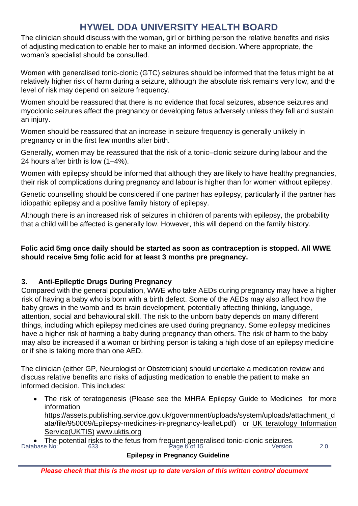The clinician should discuss with the woman, girl or birthing person the relative benefits and risks of adjusting medication to enable her to make an informed decision. Where appropriate, the woman's specialist should be consulted.

Women with generalised tonic-clonic (GTC) seizures should be informed that the fetus might be at relatively higher risk of harm during a seizure, although the absolute risk remains very low, and the level of risk may depend on seizure frequency.

Women should be reassured that there is no evidence that focal seizures, absence seizures and myoclonic seizures affect the pregnancy or developing fetus adversely unless they fall and sustain an injury.

Women should be reassured that an increase in seizure frequency is generally unlikely in pregnancy or in the first few months after birth.

Generally, women may be reassured that the risk of a tonic–clonic seizure during labour and the 24 hours after birth is low (1–4%).

Women with epilepsy should be informed that although they are likely to have healthy pregnancies, their risk of complications during pregnancy and labour is higher than for women without epilepsy.

Genetic counselling should be considered if one partner has epilepsy, particularly if the partner has idiopathic epilepsy and a positive family history of epilepsy.

Although there is an increased risk of seizures in children of parents with epilepsy, the probability that a child will be affected is generally low. However, this will depend on the family history.

#### **Folic acid 5mg once daily should be started as soon as contraception is stopped. All WWE should receive 5mg folic acid for at least 3 months pre pregnancy.**

#### <span id="page-5-0"></span>**3. Anti-Epileptic Drugs During Pregnancy**

Compared with the general population, WWE who take AEDs during pregnancy may have a higher risk of having a baby who is born with a birth defect. Some of the AEDs may also affect how the baby grows in the womb and its brain development, potentially affecting thinking, language, attention, social and behavioural skill. The risk to the unborn baby depends on many different things, including which epilepsy medicines are used during pregnancy. Some epilepsy medicines have a higher risk of harming a baby during pregnancy than others. The risk of harm to the baby may also be increased if a woman or birthing person is taking a high dose of an epilepsy medicine or if she is taking more than one AED.

The clinician (either GP, Neurologist or Obstetrician) should undertake a medication review and discuss relative benefits and risks of adjusting medication to enable the patient to make an informed decision. This includes:

• The risk of teratogenesis (Please see the MHRA Epilepsy Guide to Medicines for more information https://assets.publishing.service.gov.uk/government/uploads/system/uploads/attachment\_d

ata/file/950069/Epilepsy-medicines-in-pregnancy-leaflet.pdf) or UK teratology Information Service(UKTIS) www.uktis.org

Database No: 633 633 Page 6 of 15 Page 6 of 15 Version 2.0 • The potential risks to the fetus from frequent generalised tonic-clonic seizures.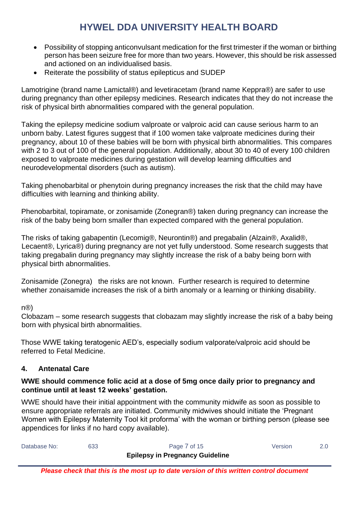- Possibility of stopping anticonvulsant medication for the first trimester if the woman or birthing person has been seizure free for more than two years. However, this should be risk assessed and actioned on an individualised basis.
- Reiterate the possibility of status epilepticus and SUDEP

Lamotrigine (brand name Lamictal®) and levetiracetam (brand name Keppra®) are safer to use during pregnancy than other epilepsy medicines. Research indicates that they do not increase the risk of physical birth abnormalities compared with the general population.

Taking the epilepsy medicine sodium valproate or valproic acid can cause serious harm to an unborn baby. Latest figures suggest that if 100 women take valproate medicines during their pregnancy, about 10 of these babies will be born with physical birth abnormalities. This compares with 2 to 3 out of 100 of the general population. Additionally, about 30 to 40 of every 100 children exposed to valproate medicines during gestation will develop learning difficulties and neurodevelopmental disorders (such as autism).

Taking phenobarbital or phenytoin during pregnancy increases the risk that the child may have difficulties with learning and thinking ability.

Phenobarbital, topiramate, or zonisamide (Zonegran®) taken during pregnancy can increase the risk of the baby being born smaller than expected compared with the general population.

The risks of taking gabapentin (Lecomig®, Neurontin®) and pregabalin (Alzain®, Axalid®, Lecaent®, Lyrica®) during pregnancy are not yet fully understood. Some research suggests that taking pregabalin during pregnancy may slightly increase the risk of a baby being born with physical birth abnormalities.

Zonisamide (Zonegra) the risks are not known. Further research is required to determine whether zonaisamide increases the risk of a birth anomaly or a learning or thinking disability.

n®)

Clobazam – some research suggests that clobazam may slightly increase the risk of a baby being born with physical birth abnormalities.

Those WWE taking teratogenic AED's, especially sodium valporate/valproic acid should be referred to Fetal Medicine.

#### <span id="page-6-0"></span>**4. Antenatal Care**

#### **WWE should commence folic acid at a dose of 5mg once daily prior to pregnancy and continue until at least 12 weeks' gestation.**

WWE should have their initial appointment with the community midwife as soon as possible to ensure appropriate referrals are initiated. Community midwives should initiate the 'Pregnant Women with Epilepsy Maternity Tool kit proforma' with the woman or birthing person (please see appendices for links if no hard copy available).

| Database No: | 633 | Page 7 of 15                           | Version |  |
|--------------|-----|----------------------------------------|---------|--|
|              |     | <b>Epilepsy in Pregnancy Guideline</b> |         |  |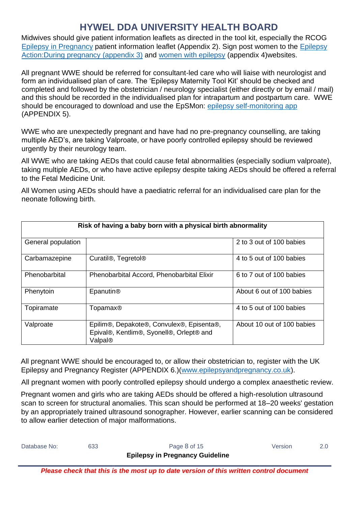Midwives should give patient information leaflets as directed in the tool kit, especially the RCOG [Epilepsy in Pregnancy](https://www.rcog.org.uk/globalassets/documents/patients/patient-information-leaflets/pregnancy/pi-epilepsy-in-pregnancy.pdf) patient information leaflet (Appendix 2). Sign post women to the [Epilepsy](https://www.epilepsy.org.uk/info/daily-life/having-baby/pregnancy)  [Action:During pregnancy](https://www.epilepsy.org.uk/info/daily-life/having-baby/pregnancy) (appendix 3) and [women with epilepsy](https://www.womenwithepilepsy.co.uk/) (appendix 4)websites.

All pregnant WWE should be referred for consultant-led care who will liaise with neurologist and form an individualised plan of care. The 'Epilepsy Maternity Tool Kit' should be checked and completed and followed by the obstetrician / neurology specialist (either directly or by email / mail) and this should be recorded in the individualised plan for intrapartum and postpartum care. WWE should be encouraged to download and use the EpSMon: [epilepsy self-monitoring app](https://sudep.org/epilepsy-self-monitor) (APPENDIX 5).

WWE who are unexpectedly pregnant and have had no pre-pregnancy counselling, are taking multiple AED's, are taking Valproate, or have poorly controlled epilepsy should be reviewed urgently by their neurology team.

All WWE who are taking AEDs that could cause fetal abnormalities (especially sodium valproate), taking multiple AEDs, or who have active epilepsy despite taking AEDs should be offered a referral to the Fetal Medicine Unit.

All Women using AEDs should have a paediatric referral for an individualised care plan for the neonate following birth.

| Risk of having a baby born with a physical birth abnormality |                                                                                                  |                            |  |  |  |
|--------------------------------------------------------------|--------------------------------------------------------------------------------------------------|----------------------------|--|--|--|
| General population                                           |                                                                                                  | 2 to 3 out of 100 babies   |  |  |  |
| Carbamazepine                                                | Curatil®, Tegretol®                                                                              | 4 to 5 out of 100 babies   |  |  |  |
| Phenobarbital                                                | Phenobarbital Accord, Phenobarbital Elixir                                                       | 6 to 7 out of 100 babies   |  |  |  |
| Phenytoin                                                    | Epanutin <sup>®</sup>                                                                            | About 6 out of 100 babies  |  |  |  |
| Topiramate                                                   | Topamax®                                                                                         | 4 to 5 out of 100 babies   |  |  |  |
| Valproate                                                    | Epilim®, Depakote®, Convulex®, Episenta®,<br>Epival®, Kentlim®, Syonell®, Orlept® and<br>Valpal® | About 10 out of 100 babies |  |  |  |

All pregnant WWE should be encouraged to, or allow their obstetrician to, register with the UK Epilepsy and Pregnancy Register (APPENDIX 6.)[\(www.epilepsyandpregnancy.co.uk\)](http://www.epilepsyandpregnancy.co.uk/).

All pregnant women with poorly controlled epilepsy should undergo a complex anaesthetic review.

Pregnant women and girls who are taking AEDs should be offered a high-resolution ultrasound scan to screen for structural anomalies. This scan should be performed at 18–20 weeks' gestation by an appropriately trained ultrasound sonographer. However, earlier scanning can be considered to allow earlier detection of major malformations.

| Database No: | 633 | Page 8 of 15                           | Version | 2.0 <sub>1</sub> |
|--------------|-----|----------------------------------------|---------|------------------|
|              |     | <b>Epilepsy in Pregnancy Guideline</b> |         |                  |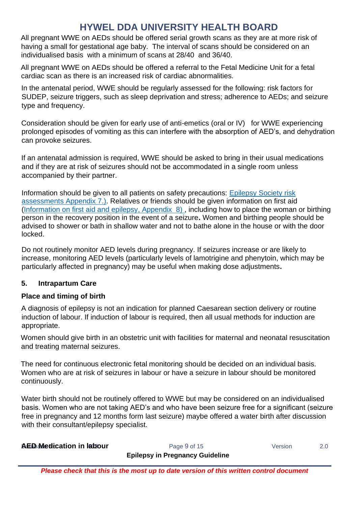All pregnant WWE on AEDs should be offered serial growth scans as they are at more risk of having a small for gestational age baby. The interval of scans should be considered on an individualised basis with a minimum of scans at 28/40 and 36/40.

All pregnant WWE on AEDs should be offered a referral to the Fetal Medicine Unit for a fetal cardiac scan as there is an increased risk of cardiac abnormalities.

In the antenatal period, WWE should be regularly assessed for the following: risk factors for SUDEP, seizure triggers, such as sleep deprivation and stress; adherence to AEDs; and seizure type and frequency.

Consideration should be given for early use of anti-emetics (oral or IV) for WWE experiencing prolonged episodes of vomiting as this can interfere with the absorption of AED's, and dehydration can provoke seizures.

If an antenatal admission is required, WWE should be asked to bring in their usual medications and if they are at risk of seizures should not be accommodated in a single room unless accompanied by their partner.

Information should be given to all patients on safety precautions: [Epilepsy Society risk](https://epilepsysociety.org.uk/living-epilepsy/wellbeing/safety-and-risk/risk-assessment#.V6INxRUrLIU)  [assessments](https://epilepsysociety.org.uk/living-epilepsy/wellbeing/safety-and-risk/risk-assessment#.V6INxRUrLIU) Appendix 7.). Relatives or friends should be given information on first aid [\(Information on first aid and epilepsy,](https://www.epilepsy.org.uk/info/firstaid) Appendix 8), including how to place the woman or birthing person in the recovery position in the event of a seizure**.** Women and birthing people should be advised to shower or bath in shallow water and not to bathe alone in the house or with the door locked.

Do not routinely monitor AED levels during pregnancy. If seizures increase or are likely to increase, monitoring AED levels (particularly levels of lamotrigine and phenytoin, which may be particularly affected in pregnancy) may be useful when making dose adjustments**.**

#### <span id="page-8-0"></span>**5. Intrapartum Care**

#### **Place and timing of birth**

A diagnosis of epilepsy is not an indication for planned Caesarean section delivery or routine induction of labour. If induction of labour is required, then all usual methods for induction are appropriate.

Women should give birth in an obstetric unit with facilities for maternal and neonatal resuscitation and treating maternal seizures.

The need for continuous electronic fetal monitoring should be decided on an individual basis. Women who are at risk of seizures in labour or have a seizure in labour should be monitored continuously.

Water birth should not be routinely offered to WWE but may be considered on an individualised basis. Women who are not taking AED's and who have been seizure free for a significant (seizure free in pregnancy and 12 months form last seizure) maybe offered a water birth after discussion with their consultant/epilepsy specialist.

| <b>AED Medication in labour</b> | Page 9 of 15                           | Version |  |
|---------------------------------|----------------------------------------|---------|--|
|                                 | <b>Epilepsy in Pregnancy Guideline</b> |         |  |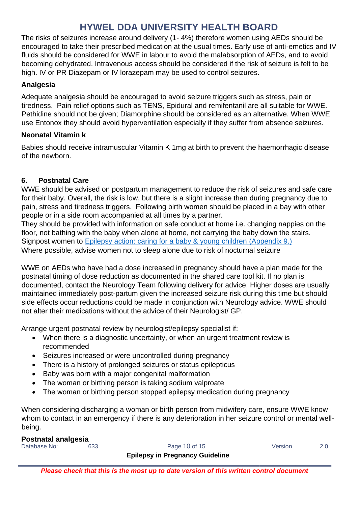The risks of seizures increase around delivery (1- 4%) therefore women using AEDs should be encouraged to take their prescribed medication at the usual times. Early use of anti-emetics and IV fluids should be considered for WWE in labour to avoid the malabsorption of AEDs, and to avoid becoming dehydrated. Intravenous access should be considered if the risk of seizure is felt to be high. IV or PR Diazepam or IV lorazepam may be used to control seizures.

#### **Analgesia**

Adequate analgesia should be encouraged to avoid seizure triggers such as stress, pain or tiredness. Pain relief options such as TENS, Epidural and remifentanil are all suitable for WWE. Pethidine should not be given; Diamorphine should be considered as an alternative. When WWE use Entonox they should avoid hyperventilation especially if they suffer from absence seizures.

#### **Neonatal Vitamin k**

Babies should receive intramuscular Vitamin K 1mg at birth to prevent the haemorrhagic disease of the newborn.

#### <span id="page-9-0"></span>**6. Postnatal Care**

WWE should be advised on postpartum management to reduce the risk of seizures and safe care for their baby. Overall, the risk is low, but there is a slight increase than during pregnancy due to pain, stress and tiredness triggers. Following birth women should be placed in a bay with other people or in a side room accompanied at all times by a partner.

They should be provided with information on safe conduct at home i.e. changing nappies on the floor, not bathing with the baby when alone at home, not carrying the baby down the stairs. Signpost women to [Epilepsy action: caring for a baby & young children](https://www.epilepsy.org.uk/info/caring-children) (Appendix 9.) Where possible, advise women not to sleep alone due to risk of nocturnal seizure

WWE on AEDs who have had a dose increased in pregnancy should have a plan made for the postnatal timing of dose reduction as documented in the shared care tool kit. If no plan is documented, contact the Neurology Team following delivery for advice. Higher doses are usually maintained immediately post-partum given the increased seizure risk during this time but should side effects occur reductions could be made in conjunction with Neurology advice. WWE should not alter their medications without the advice of their Neurologist/ GP.

Arrange urgent postnatal review by neurologist/epilepsy specialist if:

- When there is a diagnostic uncertainty, or when an urgent treatment review is recommended
- Seizures increased or were uncontrolled during pregnancy
- There is a history of prolonged seizures or status epilepticus
- Baby was born with a major congenital malformation
- The woman or birthing person is taking sodium valproate
- The woman or birthing person stopped epilepsy medication during pregnancy

When considering discharging a woman or birth person from midwifery care, ensure WWE know whom to contact in an emergency if there is any deterioration in her seizure control or mental wellbeing.

#### **Postnatal analgesia**

Database No: 633 633 Page 10 of 15 Version 2.0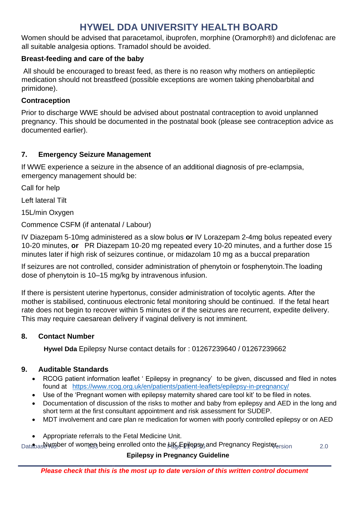Women should be advised that paracetamol, ibuprofen, morphine (Oramorph®) and diclofenac are all suitable analgesia options. Tramadol should be avoided.

#### **Breast-feeding and care of the baby**

All should be encouraged to breast feed, as there is no reason why mothers on antiepileptic medication should not breastfeed (possible exceptions are women taking phenobarbital and primidone).

#### **Contraception**

Prior to discharge WWE should be advised about postnatal contraception to avoid unplanned pregnancy. This should be documented in the postnatal book (please see contraception advice as documented earlier).

#### <span id="page-10-0"></span>**7. Emergency Seizure Management**

If WWE experience a seizure in the absence of an additional diagnosis of pre-eclampsia, emergency management should be:

Call for help

Left lateral Tilt

15L/min Oxygen

Commence CSFM (if antenatal / Labour)

IV Diazepam 5-10mg administered as a slow bolus **or** IV Lorazepam 2-4mg bolus repeated every 10-20 minutes, **or** PR Diazepam 10-20 mg repeated every 10-20 minutes, and a further dose 15 minutes later if high risk of seizures continue, or midazolam 10 mg as a buccal preparation

If seizures are not controlled, consider administration of phenytoin or fosphenytoin.The loading dose of phenytoin is 10–15 mg/kg by intravenous infusion.

If there is persistent uterine hypertonus, consider administration of tocolytic agents. After the mother is stabilised, continuous electronic fetal monitoring should be continued. If the fetal heart rate does not begin to recover within 5 minutes or if the seizures are recurrent, expedite delivery. This may require caesarean delivery if vaginal delivery is not imminent.

#### <span id="page-10-1"></span>**8. Contact Number**

 **Hywel Dda** Epilepsy Nurse contact details for : 01267239640 / 01267239662

#### <span id="page-10-2"></span>**9. Auditable Standards**

- RCOG patient information leaflet ' Epilepsy in pregnancy' to be given, discussed and filed in notes found at <https://www.rcog.org.uk/en/patients/patient-leaflets/epilepsy-in-pregnancy/>
- Use of the 'Pregnant women with epilepsy maternity shared care tool kit' to be filed in notes.
- Documentation of discussion of the risks to mother and baby from epilepsy and AED in the long and short term at the first consultant appointment and risk assessment for SUDEP.
- MDT involvement and care plan re medication for women with poorly controlled epilepsy or on AED
- Appropriate referrals to the Fetal Medicine Unit.

 $_{\sf Data}$ առանեցի օր women being enrolled onto the իկ( Ері ерзу, and Pregnancy Registe ա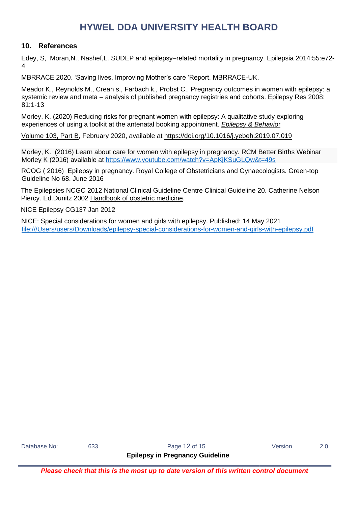#### <span id="page-11-0"></span>**10. References**

Edey, S, Moran,N., Nashef,L. SUDEP and epilepsy–related mortality in pregnancy. Epilepsia 2014:55:e72- 4

MBRRACE 2020. 'Saving lives, Improving Mother's care 'Report. MBRRACE-UK.

Meador K., Reynolds M., Crean s., Farbach k., Probst C., Pregnancy outcomes in women with epilepsy: a systemic review and meta – analysis of published pregnancy registries and cohorts. Epilepsy Res 2008: 81:1-13

Morley, K. (2020) Reducing risks for pregnant women with epilepsy: A qualitative study exploring experiences of using a toolkit at the antenatal booking appointment. *[Epilepsy & Behavio](https://www.sciencedirect.com/science/journal/15255050)*r

[Volume 103, Part B,](https://www.sciencedirect.com/science/journal/15255050/103/part/PB) February 2020, available at<https://doi.org/10.1016/j.yebeh.2019.07.019>

Morley, K. (2016) Learn about care for women with epilepsy in pregnancy. RCM Better Births Webinar Morley K (2016) available at<https://www.youtube.com/watch?v=ApKjKSuGLQw&t=49s>

RCOG ( 2016) Epilepsy in pregnancy. Royal College of Obstetricians and Gynaecologists. Green-top Guideline No 68. June 2016

The Epilepsies NCGC 2012 National Clinical Guideline Centre Clinical Guideline 20. Catherine Nelson Piercy. Ed.Dunitz 2002 Handbook of obstetric medicine.

NICE Epilepsy CG137 Jan 2012

NICE: Special considerations for women and girls with epilepsy. Published: 14 May 2021 [file:///Users/users/Downloads/epilepsy-special-considerations-for-women-and-girls-with-epilepsy.pdf](file:///C:/Users/users/Downloads/epilepsy-special-considerations-for-women-and-girls-with-epilepsy.pdf)

Database No: 633 633 Rage 12 of 15 Version 2.0

**Epilepsy in Pregnancy Guideline**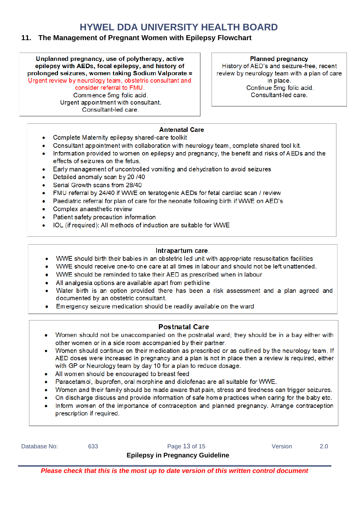#### <span id="page-12-0"></span>**11. The Management of Pregnant Women with Epilepsy Flowchart**

Unplanned pregnancy, use of polytherapy, active epilepsy with AEDs, focal epilepsy, and history of prolonged seizures, women taking Sodium Valporate = Urgent review by neurology team, obstetric consultant and

consider referral to FMU. Commence 5mg folic acid. Urgent appointment with consultant.

Consultant-led care

**Planned pregnancy** 

History of AED's and seizure-free, recent review by neurology team with a plan of care in place. Continue 5mg folic acid. Consultant-led care.

#### **Antenatal Care**

- Complete Maternity epilepsy shared-care toolkit  $\bullet$
- Consultant appointment with collaboration with neurology team, complete shared tool kit.  $\bullet$
- Information provided to women on epilepsy and pregnancy, the benefit and risks of AEDs and the effects of seizures on the fetus.
- Early management of uncontrolled vomiting and dehydration to avoid seizures
- Detailed anomaly scan by 20 /40
- Serial Growth scans from 28/40
- FMU referral by 24/40 if WWE on teratogenic AEDs for fetal cardiac scan / review  $\bullet$
- Paediatric referral for plan of care for the neonate following birth if WWE on AED's
- Complex anaesthetic review
- Patient safety precaution information  $\bullet$
- IOL (if required): All methods of induction are suitable for WWE

#### Intrapartum care.

- WWE should birth their babies in an obstetric led unit with appropriate resuscitation facilities  $\bullet$
- WWE should receive one-to one care at all times in labour and should not be left unattended.
- WWE should be reminded to take their AED as prescribed when in labour
- All analgesia options are available apart from pethidine
- Water birth is an option provided there has been a risk assessment and a plan agreed and documented by an obstetric consultant.
- Emergency seizure medication should be readily available on the ward

#### **Postnatal Care**

- Women should not be unaccompanied on the postnatal ward; they should be in a bay either with other women or in a side room accompanied by their partner.
- Women should continue on their medication as prescribed or as outlined by the neurology team. If AED doses were increased in pregnancy and a plan is not in place then a review is required, either with GP or Neurology team by day 10 for a plan to reduce dosage.
- All women should be encouraged to breast feed
- Paracetamol, ibuprofen, oral morphine and diclofenac are all suitable for WWE.  $\bullet$
- Women and their family should be made aware that pain, stress and tiredness can trigger seizures.
- On discharge discuss and provide information of safe home practices when caring for the baby etc.
- Inform women of the importance of contraception and planned pregnancy. Arrange contraception  $\bullet$ prescription if required.

| Database No: | 633 | Page 13 of 15                          | Version |  |
|--------------|-----|----------------------------------------|---------|--|
|              |     | <b>Epilepsy in Pregnancy Guideline</b> |         |  |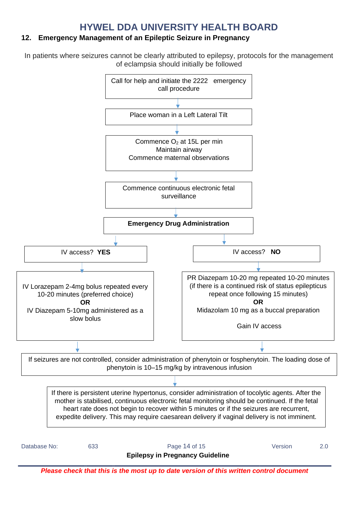#### <span id="page-13-0"></span>**12. Emergency Management of an Epileptic Seizure in Pregnancy**

In patients where seizures cannot be clearly attributed to epilepsy, protocols for the management of eclampsia should initially be followed